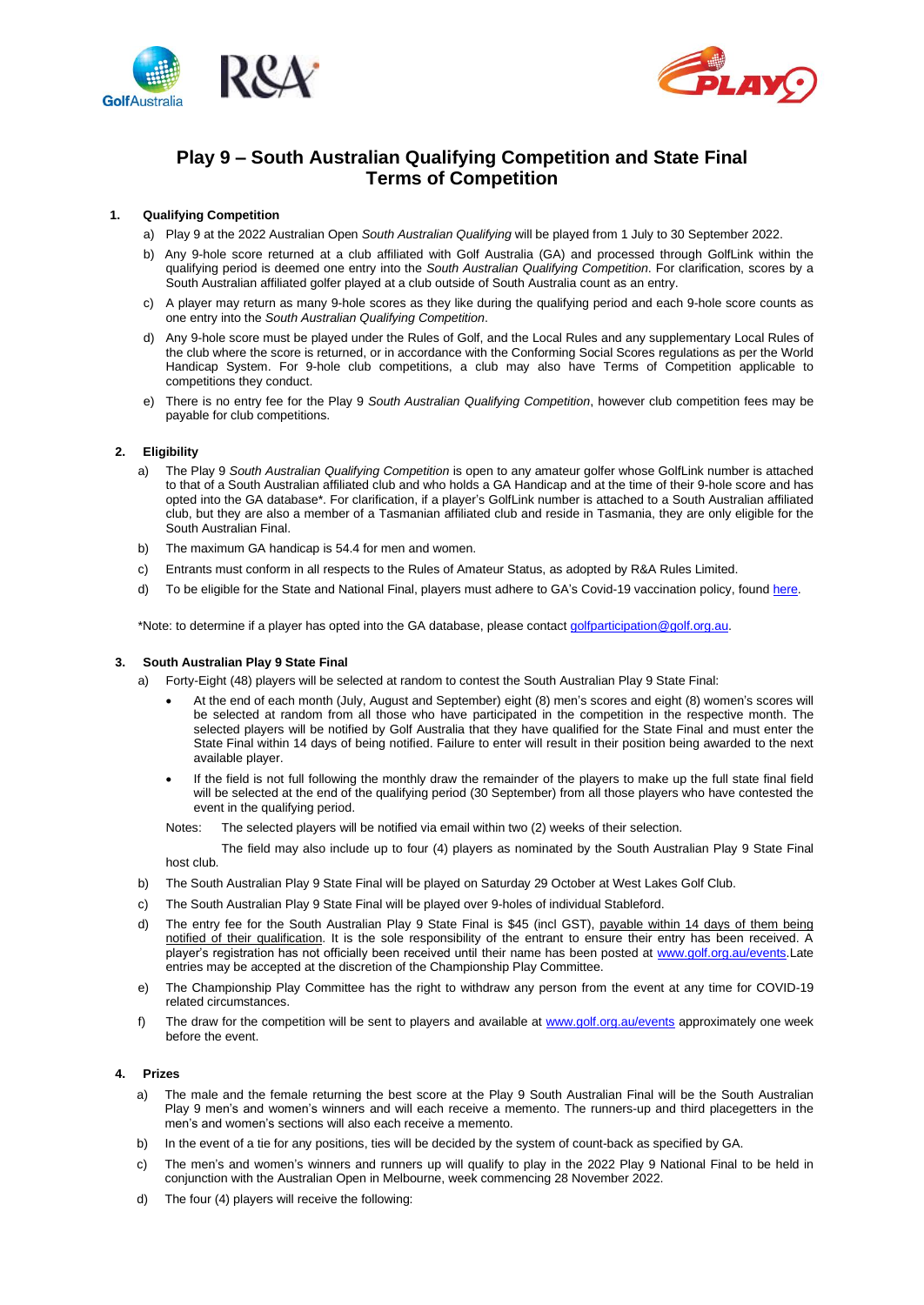



# **Play 9 – South Australian Qualifying Competition and State Final Terms of Competition**

## **1. Qualifying Competition**

- a) Play 9 at the 2022 Australian Open *South Australian Qualifying* will be played from 1 July to 30 September 2022.
- b) Any 9-hole score returned at a club affiliated with Golf Australia (GA) and processed through GolfLink within the qualifying period is deemed one entry into the *South Australian Qualifying Competition*. For clarification, scores by a South Australian affiliated golfer played at a club outside of South Australia count as an entry.
- c) A player may return as many 9-hole scores as they like during the qualifying period and each 9-hole score counts as one entry into the *South Australian Qualifying Competition*.
- d) Any 9-hole score must be played under the Rules of Golf, and the Local Rules and any supplementary Local Rules of the club where the score is returned, or in accordance with the Conforming Social Scores regulations as per the World Handicap System. For 9-hole club competitions, a club may also have Terms of Competition applicable to competitions they conduct.
- e) There is no entry fee for the Play 9 *South Australian Qualifying Competition*, however club competition fees may be payable for club competitions.

# **2. Eligibility**

- a) The Play 9 *South Australian Qualifying Competition* is open to any amateur golfer whose GolfLink number is attached to that of a South Australian affiliated club and who holds a GA Handicap and at the time of their 9-hole score and has opted into the GA database\*. For clarification, if a player's GolfLink number is attached to a South Australian affiliated club, but they are also a member of a Tasmanian affiliated club and reside in Tasmania, they are only eligible for the South Australian Final.
- b) The maximum GA handicap is 54.4 for men and women.
- c) Entrants must conform in all respects to the Rules of Amateur Status, as adopted by R&A Rules Limited.
- d) To be eligible for the State and National Final, players must adhere to GA's Covid-19 vaccination policy, foun[d here.](https://www.golf.org.au/events-statement)

\*Note: to determine if a player has opted into the GA database, please contac[t golfparticipation@golf.org.au.](mailto:golfparticipation@golf.org.au)

# **3. South Australian Play 9 State Final**

- a) Forty-Eight (48) players will be selected at random to contest the South Australian Play 9 State Final:
	- At the end of each month (July, August and September) eight (8) men's scores and eight (8) women's scores will be selected at random from all those who have participated in the competition in the respective month. The selected players will be notified by Golf Australia that they have qualified for the State Final and must enter the State Final within 14 days of being notified. Failure to enter will result in their position being awarded to the next available player.
	- If the field is not full following the monthly draw the remainder of the players to make up the full state final field will be selected at the end of the qualifying period (30 September) from all those players who have contested the event in the qualifying period.
	- Notes: The selected players will be notified via email within two (2) weeks of their selection.

The field may also include up to four (4) players as nominated by the South Australian Play 9 State Final host club.

- b) The South Australian Play 9 State Final will be played on Saturday 29 October at West Lakes Golf Club.
- c) The South Australian Play 9 State Final will be played over 9-holes of individual Stableford.
- d) The entry fee for the South Australian Play 9 State Final is \$45 (incl GST), payable within 14 days of them being notified of their qualification. It is the sole responsibility of the entrant to ensure their entry has been received. A player's registration has not officially been received until their name has been posted a[t www.golf.org.au/](https://aus01.safelinks.protection.outlook.com/?url=http%3A%2F%2Fwww.golf.org.au%2F&data=05%7C01%7C%7Cb80ca4da11004843fa2b08da422b8e64%7Cf83d3d30ab064f058167e9f38978556f%7C0%7C0%7C637895052099210425%7CUnknown%7CTWFpbGZsb3d8eyJWIjoiMC4wLjAwMDAiLCJQIjoiV2luMzIiLCJBTiI6Ik1haWwiLCJXVCI6Mn0%3D%7C3000%7C%7C%7C&sdata=e3GqpzNlY2dhMs2%2FrG8DcYIue9TXUSOKz4mbDGLOwzw%3D&reserved=0)events.Late entries may be accepted at the discretion of the Championship Play Committee.
- e) The Championship Play Committee has the right to withdraw any person from the event at any time for COVID-19 related circumstances.
- f) The draw for the competition will be sent to players and available at [www.golf.org.au/events](http://www.golf.org.au/events) approximately one week before the event.

# **4. Prizes**

- a) The male and the female returning the best score at the Play 9 South Australian Final will be the South Australian Play 9 men's and women's winners and will each receive a memento. The runners-up and third placegetters in the men's and women's sections will also each receive a memento.
- b) In the event of a tie for any positions, ties will be decided by the system of count-back as specified by GA.
- c) The men's and women's winners and runners up will qualify to play in the 2022 Play 9 National Final to be held in conjunction with the Australian Open in Melbourne, week commencing 28 November 2022.
- d) The four (4) players will receive the following: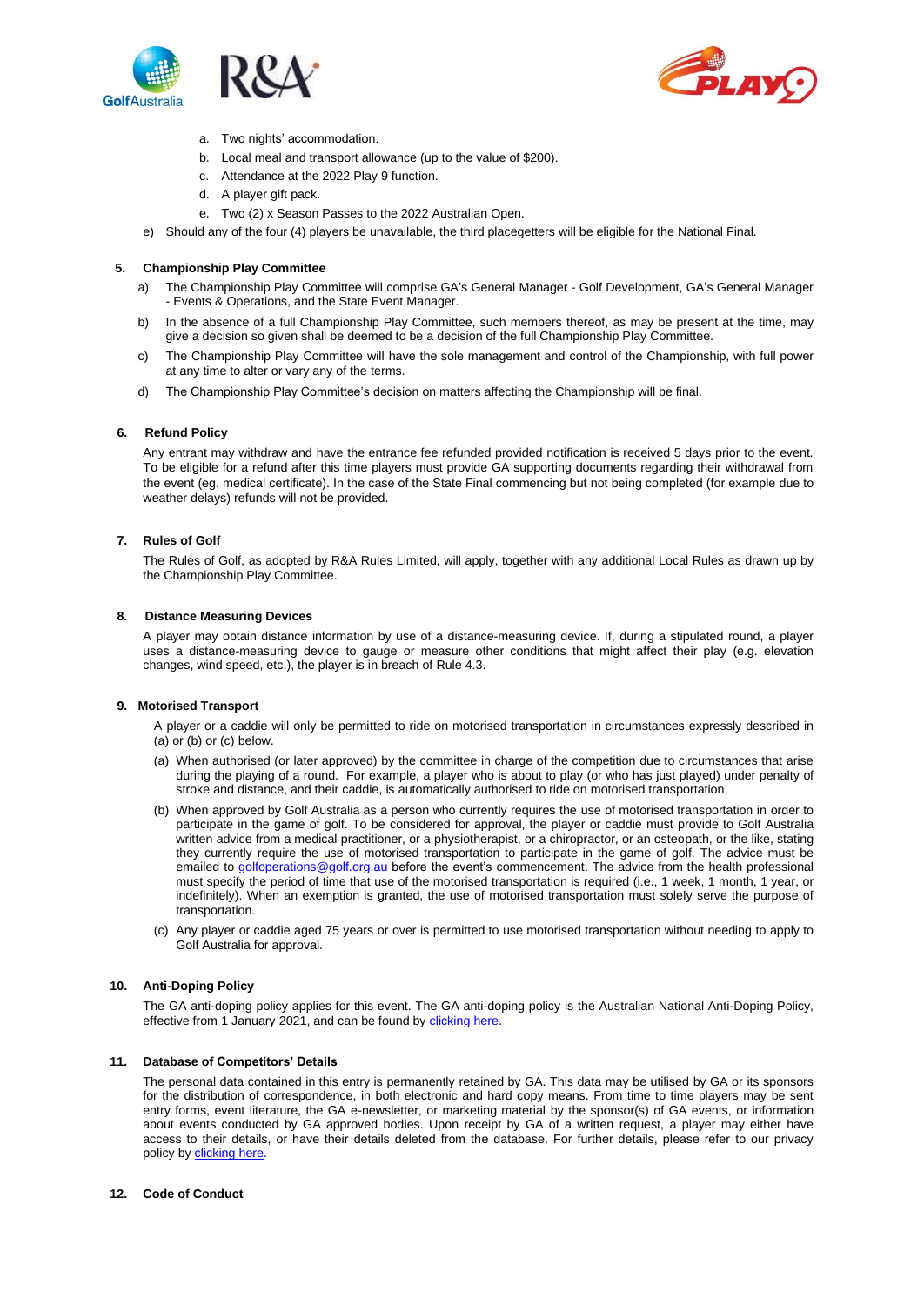



- a. Two nights' accommodation.
- b. Local meal and transport allowance (up to the value of \$200).
- c. Attendance at the 2022 Play 9 function.
- d. A player gift pack.
- e. Two (2) x Season Passes to the 2022 Australian Open.
- e) Should any of the four (4) players be unavailable, the third placegetters will be eligible for the National Final.

### **5. Championship Play Committee**

- a) The Championship Play Committee will comprise GA's General Manager Golf Development, GA's General Manager - Events & Operations, and the State Event Manager.
- b) In the absence of a full Championship Play Committee, such members thereof, as may be present at the time, may give a decision so given shall be deemed to be a decision of the full Championship Play Committee.
- c) The Championship Play Committee will have the sole management and control of the Championship, with full power at any time to alter or vary any of the terms.
- d) The Championship Play Committee's decision on matters affecting the Championship will be final.

#### **6. Refund Policy**

Any entrant may withdraw and have the entrance fee refunded provided notification is received 5 days prior to the event. To be eligible for a refund after this time players must provide GA supporting documents regarding their withdrawal from the event (eg. medical certificate). In the case of the State Final commencing but not being completed (for example due to weather delays) refunds will not be provided.

## **7. Rules of Golf**

The Rules of Golf, as adopted by R&A Rules Limited, will apply, together with any additional Local Rules as drawn up by the Championship Play Committee.

#### **8. Distance Measuring Devices**

A player may obtain distance information by use of a distance-measuring device. If, during a stipulated round, a player uses a distance-measuring device to gauge or measure other conditions that might affect their play (e.g. elevation changes, wind speed, etc.), the player is in breach of Rule 4.3.

## **9. Motorised Transport**

- A player or a caddie will only be permitted to ride on motorised transportation in circumstances expressly described in (a) or (b) or (c) below.
- (a) When authorised (or later approved) by the committee in charge of the competition due to circumstances that arise during the playing of a round. For example, a player who is about to play (or who has just played) under penalty of stroke and distance, and their caddie, is automatically authorised to ride on motorised transportation.
- (b) When approved by Golf Australia as a person who currently requires the use of motorised transportation in order to participate in the game of golf. To be considered for approval, the player or caddie must provide to Golf Australia written advice from a medical practitioner, or a physiotherapist, or a chiropractor, or an osteopath, or the like, stating they currently require the use of motorised transportation to participate in the game of golf. The advice must be emailed t[o golfoperations@golf.org.au](mailto:golfoperations@golf.org.au) before the event's commencement. The advice from the health professional must specify the period of time that use of the motorised transportation is required (i.e., 1 week, 1 month, 1 year, or indefinitely). When an exemption is granted, the use of motorised transportation must solely serve the purpose of transportation.
- (c) Any player or caddie aged 75 years or over is permitted to use motorised transportation without needing to apply to Golf Australia for approval.

#### **10. Anti-Doping Policy**

The GA anti-doping policy applies for this event. The GA anti-doping policy is the Australian National Anti-Doping Policy, effective from 1 January 2021, and can be found by [clicking here.](https://www.golf.org.au/competitionpolicies)

## **11. Database of Competitors' Details**

The personal data contained in this entry is permanently retained by GA. This data may be utilised by GA or its sponsors for the distribution of correspondence, in both electronic and hard copy means. From time to time players may be sent entry forms, event literature, the GA e-newsletter, or marketing material by the sponsor(s) of GA events, or information about events conducted by GA approved bodies. Upon receipt by GA of a written request, a player may either have access to their details, or have their details deleted from the database. For further details, please refer to our privacy policy b[y clicking](https://www.golf.org.au/privacy-policy/) here.

#### **12. Code of Conduct**